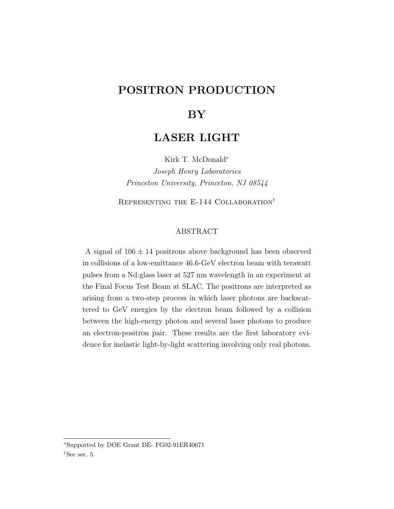## POSITRON PRODUCTION

## **BY**

## LASER LIGHT

Kirk T. McDonald<sup>∗</sup>

Joseph Henry Laboratories Princeton University, Princeton, NJ 08544

REPRESENTING THE E-144 COLLABORATION<sup>†</sup>

#### ABSTRACT

A signal of  $106 \pm 14$  positrons above background has been observed in collisions of a low-emittance 46.6-GeV electron beam with terawatt pulses from a Nd:glass laser at 527 nm wavelength in an experiment at the Final Focus Test Beam at SLAC. The positrons are interpreted as arising from a two-step process in which laser photons are backscattered to GeV energies by the electron beam followed by a collision between the high-energy photon and several laser photons to produce an electron-positron pair. These results are the first laboratory evidence for inelastic light-by-light scattering involving only real photons.

<sup>∗</sup>Supported by DOE Grant DE- FG02-91ER40671

<sup>†</sup>See sec. 5.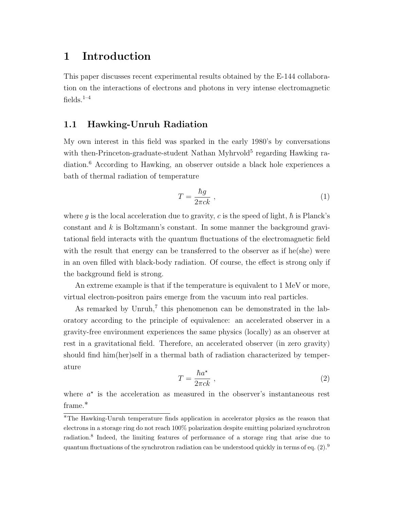## 1 Introduction

This paper discusses recent experimental results obtained by the E-144 collaboration on the interactions of electrons and photons in very intense electromagnetic fields. $1-4$ 

### 1.1 Hawking-Unruh Radiation

My own interest in this field was sparked in the early 1980's by conversations with then-Princeton-graduate-student Nathan Myhrvold<sup>5</sup> regarding Hawking radiation.<sup>6</sup> According to Hawking, an observer outside a black hole experiences a bath of thermal radiation of temperature

$$
T = \frac{\hbar g}{2\pi c k} \tag{1}
$$

where q is the local acceleration due to gravity, c is the speed of light,  $\hbar$  is Planck's constant and  $k$  is Boltzmann's constant. In some manner the background gravitational field interacts with the quantum fluctuations of the electromagnetic field with the result that energy can be transferred to the observer as if he(she) were in an oven filled with black-body radiation. Of course, the effect is strong only if the background field is strong.

An extreme example is that if the temperature is equivalent to 1 MeV or more, virtual electron-positron pairs emerge from the vacuum into real particles.

As remarked by Unruh,<sup>7</sup> this phenomenon can be demonstrated in the laboratory according to the principle of equivalence: an accelerated observer in a gravity-free environment experiences the same physics (locally) as an observer at rest in a gravitational field. Therefore, an accelerated observer (in zero gravity) should find him(her)self in a thermal bath of radiation characterized by temperature

$$
T = \frac{\hbar a^*}{2\pi c k} \,,\tag{2}
$$

where  $a^*$  is the acceleration as measured in the observer's instantaneous rest frame.<sup>\*</sup>

<sup>∗</sup>The Hawking-Unruh temperature finds application in accelerator physics as the reason that electrons in a storage ring do not reach 100% polarization despite emitting polarized synchrotron radiation.<sup>8</sup> Indeed, the limiting features of performance of a storage ring that arise due to quantum fluctuations of the synchrotron radiation can be understood quickly in terms of eq.  $(2).9$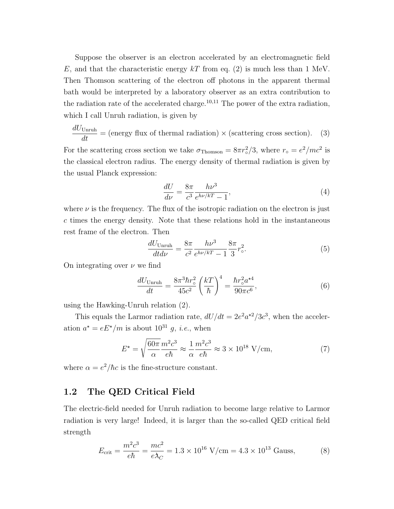Suppose the observer is an electron accelerated by an electromagnetic field E, and that the characteristic energy  $kT$  from eq. (2) is much less than 1 MeV. Then Thomson scattering of the electron off photons in the apparent thermal bath would be interpreted by a laboratory observer as an extra contribution to the radiation rate of the accelerated charge.<sup>10,11</sup> The power of the extra radiation, which I call Unruh radiation, is given by

$$
\frac{dU_{\text{Unruh}}}{dt} = \text{(energy flux of thermal radiation)} \times \text{(scattering cross section)}.\tag{3}
$$

For the scattering cross section we take  $\sigma_{\text{Thomson}} = 8\pi r_{\circ}^{2}/3$ , where  $r_{\circ} = e^{2}/mc^{2}$  is the classical electron radius. The energy density of thermal radiation is given by the usual Planck expression:

$$
\frac{dU}{d\nu} = \frac{8\pi}{c^3} \frac{h\nu^3}{e^{h\nu/k} - 1},\tag{4}
$$

where  $\nu$  is the frequency. The flux of the isotropic radiation on the electron is just c times the energy density. Note that these relations hold in the instantaneous rest frame of the electron. Then

$$
\frac{dU_{\text{Unruh}}}{dt d\nu} = \frac{8\pi}{c^2} \frac{h\nu^3}{e^{h\nu/kT} - 1} \frac{8\pi}{3} r_c^2.
$$
 (5)

On integrating over  $\nu$  we find

$$
\frac{dU_{\text{Unruh}}}{dt} = \frac{8\pi^3 \hbar r_\circ^2}{45c^2} \left(\frac{kT}{\hbar}\right)^4 = \frac{\hbar r_\circ^2 a^{\star 4}}{90\pi c^6},\tag{6}
$$

using the Hawking-Unruh relation (2).

This equals the Larmor radiation rate,  $dU/dt = 2e^2 a^{2}/3c^3$ , when the acceleration  $a^* = eE^*/m$  is about  $10^{31}$  g, *i.e.*, when

$$
E^* = \sqrt{\frac{60\pi}{\alpha}} \frac{m^2 c^3}{e\hbar} \approx \frac{1}{\alpha} \frac{m^2 c^3}{e\hbar} \approx 3 \times 10^{18} \text{ V/cm},\tag{7}
$$

where  $\alpha = e^2/\hbar c$  is the fine-structure constant.

### 1.2 The QED Critical Field

The electric-field needed for Unruh radiation to become large relative to Larmor radiation is very large! Indeed, it is larger than the so-called QED critical field strength

$$
E_{\text{crit}} = \frac{m^2 c^3}{e\hbar} = \frac{mc^2}{e\lambda_C} = 1.3 \times 10^{16} \text{ V/cm} = 4.3 \times 10^{13} \text{ Gauss},\tag{8}
$$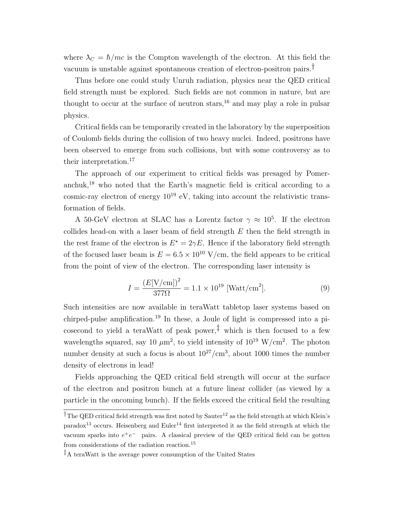where  $\lambda_C = \hbar/mc$  is the Compton wavelength of the electron. At this field the vacuum is unstable against spontaneous creation of electron-positron pairs.†

Thus before one could study Unruh radiation, physics near the QED critical field strength must be explored. Such fields are not common in nature, but are thought to occur at the surface of neutron stars,  $16$  and may play a role in pulsar physics.

Critical fields can be temporarily created in the laboratory by the superposition of Coulomb fields during the collision of two heavy nuclei. Indeed, positrons have been observed to emerge from such collisions, but with some controversy as to their interpretation.<sup>17</sup>

The approach of our experiment to critical fields was presaged by Pomeranchuk,<sup>18</sup> who noted that the Earth's magnetic field is critical according to a cosmic-ray electron of energy  $10^{19}$  eV, taking into account the relativistic transformation of fields.

A 50-GeV electron at SLAC has a Lorentz factor  $\gamma \approx 10^5$ . If the electron collides head-on with a laser beam of field strength  $E$  then the field strength in the rest frame of the electron is  $E^* = 2\gamma E$ . Hence if the laboratory field strength of the focused laser beam is  $E = 6.5 \times 10^{10}$  V/cm, the field appears to be critical from the point of view of the electron. The corresponding laser intensity is

$$
I = \frac{(E[\text{V/cm}])^2}{377\Omega} = 1.1 \times 10^{19} \text{ [Watt/cm}^2].
$$
 (9)

Such intensities are now available in teraWatt tabletop laser systems based on chirped-pulse amplification.<sup>19</sup> In these, a Joule of light is compressed into a picosecond to yield a teraWatt of peak power,<sup> $\ddagger$ </sup> which is then focused to a few wavelengths squared, say 10  $\mu$ m<sup>2</sup>, to yield intensity of 10<sup>19</sup> W/cm<sup>2</sup>. The photon number density at such a focus is about  $10^{27}/\text{cm}^3$ , about 1000 times the number density of electrons in lead!

Fields approaching the QED critical field strength will occur at the surface of the electron and positron bunch at a future linear collider (as viewed by a particle in the oncoming bunch). If the fields exceed the critical field the resulting

<sup>&</sup>lt;sup> $\dagger$ </sup>The QED critical field strength was first noted by Sauter<sup>12</sup> as the field strength at which Klein's paradox<sup>13</sup> occurs. Heisenberg and Euler<sup>14</sup> first interpreted it as the field strength at which the vacuum sparks into  $e^+e^-$  pairs. A classical preview of the QED critical field can be gotten from considerations of the radiation reaction.<sup>15</sup>

<sup>‡</sup>A teraWatt is the average power consumption of the United States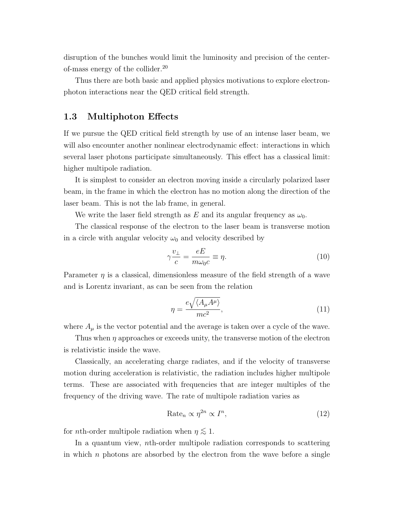disruption of the bunches would limit the luminosity and precision of the centerof-mass energy of the collider.<sup>20</sup>

Thus there are both basic and applied physics motivations to explore electronphoton interactions near the QED critical field strength.

### 1.3 Multiphoton Effects

If we pursue the QED critical field strength by use of an intense laser beam, we will also encounter another nonlinear electrodynamic effect: interactions in which several laser photons participate simultaneously. This effect has a classical limit: higher multipole radiation.

It is simplest to consider an electron moving inside a circularly polarized laser beam, in the frame in which the electron has no motion along the direction of the laser beam. This is not the lab frame, in general.

We write the laser field strength as E and its angular frequency as  $\omega_0$ .

The classical response of the electron to the laser beam is transverse motion in a circle with angular velocity  $\omega_0$  and velocity described by

$$
\gamma \frac{v_{\perp}}{c} = \frac{eE}{m\omega_0 c} \equiv \eta. \tag{10}
$$

Parameter  $\eta$  is a classical, dimensionless measure of the field strength of a wave and is Lorentz invariant, as can be seen from the relation

$$
\eta = \frac{e\sqrt{\langle A_{\mu}A^{\mu}\rangle}}{mc^2},\tag{11}
$$

where  $A_{\mu}$  is the vector potential and the average is taken over a cycle of the wave.

Thus when  $\eta$  approaches or exceeds unity, the transverse motion of the electron is relativistic inside the wave.

Classically, an accelerating charge radiates, and if the velocity of transverse motion during acceleration is relativistic, the radiation includes higher multipole terms. These are associated with frequencies that are integer multiples of the frequency of the driving wave. The rate of multipole radiation varies as

$$
Rate_n \propto \eta^{2n} \propto I^n,\tag{12}
$$

for *n*th-order multipole radiation when  $\eta \lesssim 1$ .

In a quantum view, nth-order multipole radiation corresponds to scattering in which  $n$  photons are absorbed by the electron from the wave before a single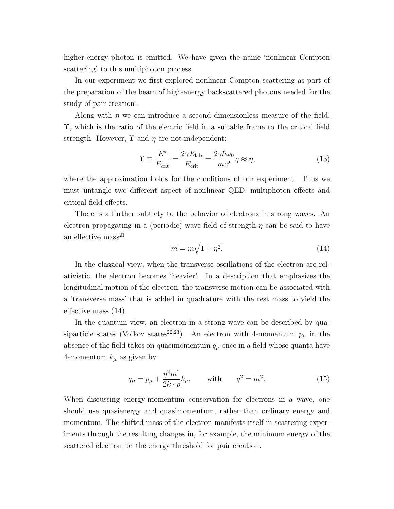higher-energy photon is emitted. We have given the name 'nonlinear Compton scattering' to this multiphoton process.

In our experiment we first explored nonlinear Compton scattering as part of the preparation of the beam of high-energy backscattered photons needed for the study of pair creation.

Along with  $\eta$  we can introduce a second dimensionless measure of the field, Υ, which is the ratio of the electric field in a suitable frame to the critical field strength. However,  $\Upsilon$  and  $\eta$  are not independent:

$$
\Upsilon \equiv \frac{E^{\star}}{E_{\text{crit}}} = \frac{2\gamma E_{\text{lab}}}{E_{\text{crit}}} = \frac{2\gamma \hbar \omega_0}{mc^2} \eta \approx \eta,
$$
\n(13)

where the approximation holds for the conditions of our experiment. Thus we must untangle two different aspect of nonlinear QED: multiphoton effects and critical-field effects.

There is a further subtlety to the behavior of electrons in strong waves. An electron propagating in a (periodic) wave field of strength  $\eta$  can be said to have an effective  $mass<sup>21</sup>$  $\mathcal{L}_{\mathcal{A}}$ 

$$
\overline{m} = m\sqrt{1 + \eta^2}.\tag{14}
$$

In the classical view, when the transverse oscillations of the electron are relativistic, the electron becomes 'heavier'. In a description that emphasizes the longitudinal motion of the electron, the transverse motion can be associated with a 'transverse mass' that is added in quadrature with the rest mass to yield the effective mass (14).

In the quantum view, an electron in a strong wave can be described by quasiparticle states (Volkov states<sup>22,23</sup>). An electron with 4-momentum  $p_{\mu}$  in the absence of the field takes on quasimomentum  $q_{\mu}$  once in a field whose quanta have 4-momentum  $k_{\mu}$  as given by

$$
q_{\mu} = p_{\mu} + \frac{\eta^2 m^2}{2k \cdot p} k_{\mu}, \quad \text{with} \quad q^2 = \overline{m}^2.
$$
 (15)

When discussing energy-momentum conservation for electrons in a wave, one should use quasienergy and quasimomentum, rather than ordinary energy and momentum. The shifted mass of the electron manifests itself in scattering experiments through the resulting changes in, for example, the minimum energy of the scattered electron, or the energy threshold for pair creation.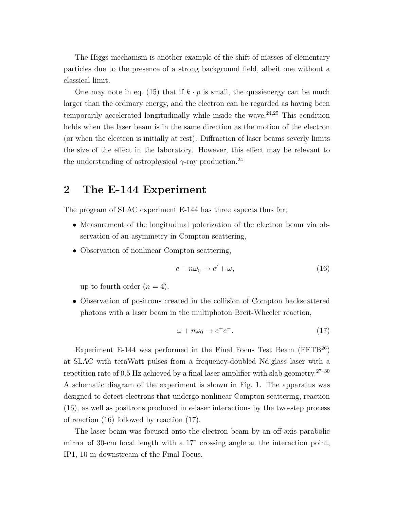The Higgs mechanism is another example of the shift of masses of elementary particles due to the presence of a strong background field, albeit one without a classical limit.

One may note in eq. (15) that if  $k \cdot p$  is small, the quasienergy can be much larger than the ordinary energy, and the electron can be regarded as having been temporarily accelerated longitudinally while inside the wave. $24,25$  This condition holds when the laser beam is in the same direction as the motion of the electron (or when the electron is initially at rest). Diffraction of laser beams severly limits the size of the effect in the laboratory. However, this effect may be relevant to the understanding of astrophysical  $\gamma$ -ray production.<sup>24</sup>

## 2 The E-144 Experiment

The program of SLAC experiment E-144 has three aspects thus far;

- Measurement of the longitudinal polarization of the electron beam via observation of an asymmetry in Compton scattering,
- Observation of nonlinear Compton scattering,

$$
e + n\omega_0 \to e' + \omega,\tag{16}
$$

up to fourth order  $(n = 4)$ .

• Observation of positrons created in the collision of Compton backscattered photons with a laser beam in the multiphoton Breit-Wheeler reaction,

$$
\omega + n\omega_0 \to e^+e^-.
$$
 (17)

Experiment E-144 was performed in the Final Focus Test Beam  $(FFTB^{26})$ at SLAC with teraWatt pulses from a frequency-doubled Nd:glass laser with a repetition rate of 0.5 Hz achieved by a final laser amplifier with slab geometry.27–30 A schematic diagram of the experiment is shown in Fig. 1. The apparatus was designed to detect electrons that undergo nonlinear Compton scattering, reaction (16), as well as positrons produced in e-laser interactions by the two-step process of reaction (16) followed by reaction (17).

The laser beam was focused onto the electron beam by an off-axis parabolic mirror of 30-cm focal length with a 17° crossing angle at the interaction point, IP1, 10 m downstream of the Final Focus.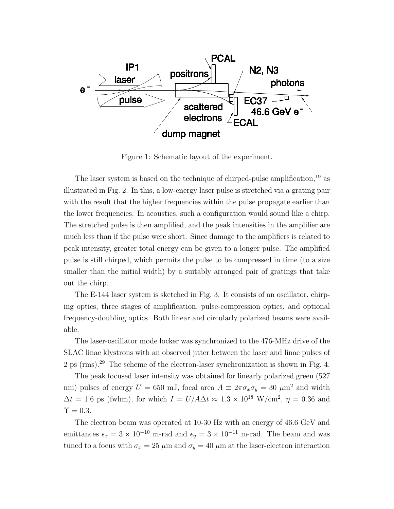

Figure 1: Schematic layout of the experiment.

The laser system is based on the technique of chirped-pulse amplification,  $^{19}$  as illustrated in Fig. 2. In this, a low-energy laser pulse is stretched via a grating pair with the result that the higher frequencies within the pulse propagate earlier than the lower frequencies. In acoustics, such a configuration would sound like a chirp. The stretched pulse is then amplified, and the peak intensities in the amplifier are much less than if the pulse were short. Since damage to the amplifiers is related to peak intensity, greater total energy can be given to a longer pulse. The amplified pulse is still chirped, which permits the pulse to be compressed in time (to a size smaller than the initial width) by a suitably arranged pair of gratings that take out the chirp.

The E-144 laser system is sketched in Fig. 3. It consists of an oscillator, chirping optics, three stages of amplification, pulse-compression optics, and optional frequency-doubling optics. Both linear and circularly polarized beams were available.

The laser-oscillator mode locker was synchronized to the 476-MHz drive of the SLAC linac klystrons with an observed jitter between the laser and linac pulses of 2 ps (rms).<sup>29</sup> The scheme of the electron-laser synchronization is shown in Fig. 4.

The peak focused laser intensity was obtained for linearly polarized green (527 nm) pulses of energy  $U = 650$  mJ, focal area  $A \equiv 2\pi \sigma_x \sigma_y = 30 \ \mu \text{m}^2$  and width  $\Delta t = 1.6$  ps (fwhm), for which  $I = U/A\Delta t \approx 1.3 \times 10^{18}$  W/cm<sup>2</sup>,  $\eta = 0.36$  and  $\Upsilon = 0.3$ .

The electron beam was operated at 10-30 Hz with an energy of 46.6 GeV and emittances  $\epsilon_x = 3 \times 10^{-10}$  m-rad and  $\epsilon_y = 3 \times 10^{-11}$  m-rad. The beam and was tuned to a focus with  $\sigma_x = 25 \mu \text{m}$  and  $\sigma_y = 40 \mu \text{m}$  at the laser-electron interaction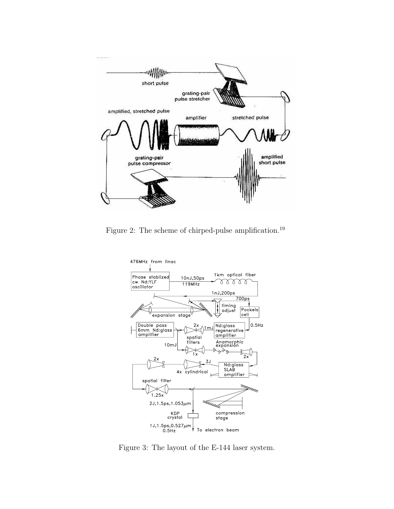

Figure 2: The scheme of chirped-pulse amplification.<sup>19</sup>



Figure 3: The layout of the E-144 laser system.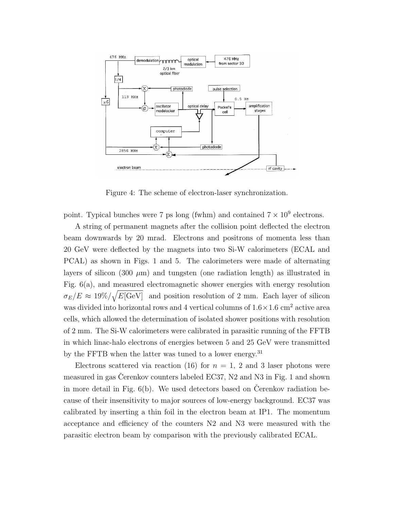

Figure 4: The scheme of electron-laser synchronization.

point. Typical bunches were 7 ps long (fwhm) and contained  $7 \times 10^9$  electrons.

A string of permanent magnets after the collision point deflected the electron beam downwards by 20 mrad. Electrons and positrons of momenta less than 20 GeV were deflected by the magnets into two Si-W calorimeters (ECAL and PCAL) as shown in Figs. 1 and 5. The calorimeters were made of alternating layers of silicon (300  $\mu$ m) and tungsten (one radiation length) as illustrated in Fig.  $6(a)$ , and measured electromagnetic shower energies with energy resolution  $\sigma_E/E \approx 19\% / \sqrt{E[\text{GeV}]}$  and position resolution of 2 mm. Each layer of silicon was divided into horizontal rows and 4 vertical columns of  $1.6 \times 1.6$  cm<sup>2</sup> active area cells, which allowed the determination of isolated shower positions with resolution of 2 mm. The Si-W calorimeters were calibrated in parasitic running of the FFTB in which linac-halo electrons of energies between 5 and 25 GeV were transmitted by the FFTB when the latter was tuned to a lower energy.<sup>31</sup>

Electrons scattered via reaction (16) for  $n = 1, 2$  and 3 laser photons were measured in gas Cerenkov counters labeled EC37,  $N2$  and  $N3$  in Fig. 1 and shown in more detail in Fig.  $6(b)$ . We used detectors based on Cerenkov radiation because of their insensitivity to major sources of low-energy background. EC37 was calibrated by inserting a thin foil in the electron beam at IP1. The momentum acceptance and efficiency of the counters N2 and N3 were measured with the parasitic electron beam by comparison with the previously calibrated ECAL.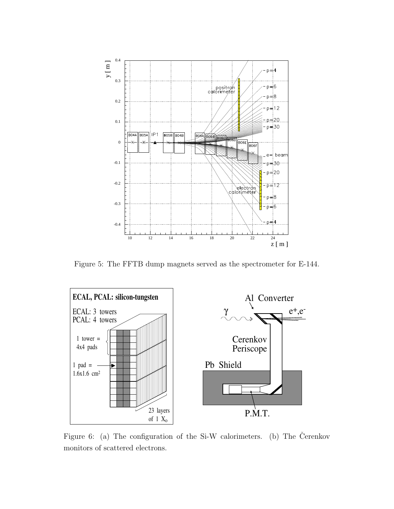

Figure 5: The FFTB dump magnets served as the spectrometer for E-144.



Figure 6: (a) The configuration of the Si-W calorimeters. (b) The Čerenkov monitors of scattered electrons.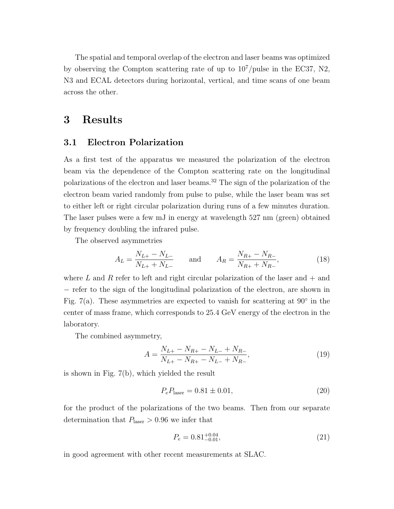The spatial and temporal overlap of the electron and laser beams was optimized by observing the Compton scattering rate of up to  $10^7$ /pulse in the EC37, N2, N3 and ECAL detectors during horizontal, vertical, and time scans of one beam across the other.

### 3 Results

### 3.1 Electron Polarization

As a first test of the apparatus we measured the polarization of the electron beam via the dependence of the Compton scattering rate on the longitudinal polarizations of the electron and laser beams.<sup>32</sup> The sign of the polarization of the electron beam varied randomly from pulse to pulse, while the laser beam was set to either left or right circular polarization during runs of a few minutes duration. The laser pulses were a few mJ in energy at wavelength 527 nm (green) obtained by frequency doubling the infrared pulse.

The observed asymmetries

$$
A_L = \frac{N_{L+} - N_{L-}}{N_{L+} + N_{L-}} \quad \text{and} \quad A_R = \frac{N_{R+} - N_{R-}}{N_{R+} + N_{R-}},
$$
(18)

where L and R refer to left and right circular polarization of the laser and  $+$  and − refer to the sign of the longitudinal polarization of the electron, are shown in Fig. 7(a). These asymmetries are expected to vanish for scattering at  $90^\circ$  in the center of mass frame, which corresponds to 25.4 GeV energy of the electron in the laboratory.

The combined asymmetry,

$$
A = \frac{N_{L+} - N_{R+} - N_{L-} + N_{R-}}{N_{L+} - N_{R+} - N_{L-} + N_{R-}},
$$
\n(19)

is shown in Fig. 7(b), which yielded the result

$$
P_e P_{\text{laser}} = 0.81 \pm 0.01,\tag{20}
$$

for the product of the polarizations of the two beams. Then from our separate determination that  $P_{\text{laser}} > 0.96$  we infer that

$$
P_e = 0.81^{+0.04}_{-0.01},\tag{21}
$$

in good agreement with other recent measurements at SLAC.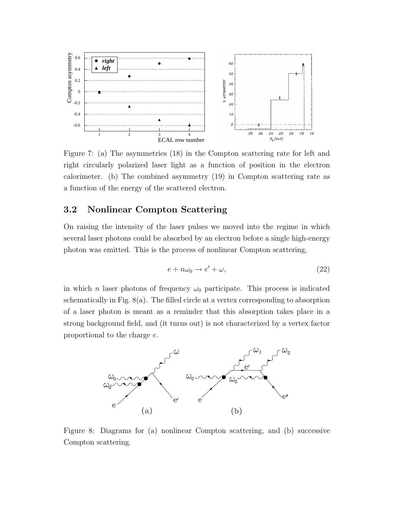

Figure 7: (a) The asymmetries (18) in the Compton scattering rate for left and right circularly polarized laser light as a function of position in the electron calorimeter. (b) The combined asymmetry (19) in Compton scattering rate as a function of the energy of the scattered electron.

### 3.2 Nonlinear Compton Scattering

On raising the intensity of the laser pulses we moved into the regime in which several laser photons could be absorbed by an electron before a single high-energy photon was emitted. This is the process of nonlinear Compton scattering,

$$
e + n\omega_0 \to e' + \omega,\tag{22}
$$

in which *n* laser photons of frequency  $\omega_0$  participate. This process is indicated schematically in Fig. 8(a). The filled circle at a vertex corresponding to absorption of a laser photon is meant as a reminder that this absorption takes place in a strong background field, and (it turns out) is not characterized by a vertex factor proportional to the charge e.



Figure 8: Diagrams for (a) nonlinear Compton scattering, and (b) successive Compton scattering.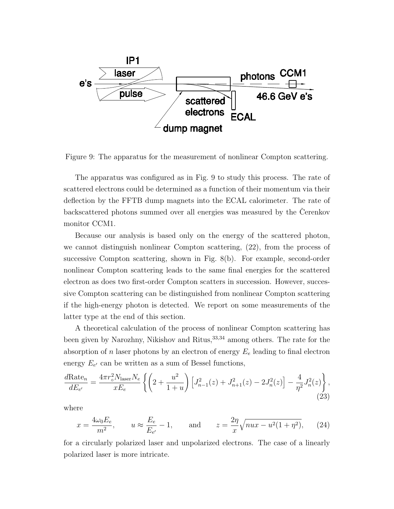

Figure 9: The apparatus for the measurement of nonlinear Compton scattering.

The apparatus was configured as in Fig. 9 to study this process. The rate of scattered electrons could be determined as a function of their momentum via their deflection by the FFTB dump magnets into the ECAL calorimeter. The rate of backscattered photons summed over all energies was measured by the Cerenkov monitor CCM1.

Because our analysis is based only on the energy of the scattered photon, we cannot distinguish nonlinear Compton scattering, (22), from the process of successive Compton scattering, shown in Fig. 8(b). For example, second-order nonlinear Compton scattering leads to the same final energies for the scattered electron as does two first-order Compton scatters in succession. However, successive Compton scattering can be distinguished from nonlinear Compton scattering if the high-energy photon is detected. We report on some measurements of the latter type at the end of this section.

A theoretical calculation of the process of nonlinear Compton scattering has been given by Narozhny, Nikishov and Ritus,<sup>33,34</sup> among others. The rate for the absorption of n laser photons by an electron of energy  $E_e$  leading to final electron energy  $E_{e'}$  can be written as a sum of Bessel functions,

$$
\frac{d\text{Rate}_n}{dE_{e'}} = \frac{4\pi r_o^2 N_{\text{laser}} N_e}{xE_e} \left\{ \left( 2 + \frac{u^2}{1+u} \right) \left[ J_{n-1}^2(z) + J_{n+1}^2(z) - 2J_n^2(z) \right] - \frac{4}{\eta^2} J_n^2(z) \right\},\tag{23}
$$

where

$$
x = \frac{4\omega_0 E_e}{m^2}
$$
,  $u \approx \frac{E_e}{E_{e'}} - 1$ , and  $z = \frac{2\eta}{x} \sqrt{nu - u^2 (1 + \eta^2)}$ , (24)

for a circularly polarized laser and unpolarized electrons. The case of a linearly polarized laser is more intricate.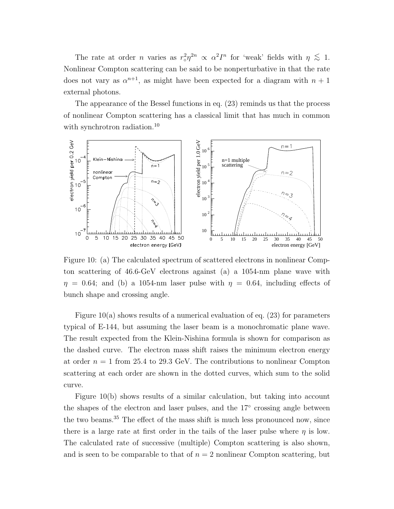The rate at order *n* varies as  $r_o^2 \eta^{2n} \propto \alpha^2 I^n$  for 'weak' fields with  $\eta \lesssim 1$ . Nonlinear Compton scattering can be said to be nonperturbative in that the rate does not vary as  $\alpha^{n+1}$ , as might have been expected for a diagram with  $n + 1$ external photons.

The appearance of the Bessel functions in eq. (23) reminds us that the process of nonlinear Compton scattering has a classical limit that has much in common with synchrotron radiation.<sup>10</sup>



Figure 10: (a) The calculated spectrum of scattered electrons in nonlinear Compton scattering of 46.6-GeV electrons against (a) a 1054-nm plane wave with  $\eta = 0.64$ ; and (b) a 1054-nm laser pulse with  $\eta = 0.64$ , including effects of bunch shape and crossing angle.

Figure 10(a) shows results of a numerical evaluation of eq. (23) for parameters typical of E-144, but assuming the laser beam is a monochromatic plane wave. The result expected from the Klein-Nishina formula is shown for comparison as the dashed curve. The electron mass shift raises the minimum electron energy at order  $n = 1$  from 25.4 to 29.3 GeV. The contributions to nonlinear Compton scattering at each order are shown in the dotted curves, which sum to the solid curve.

Figure 10(b) shows results of a similar calculation, but taking into account the shapes of the electron and laser pulses, and the 17° crossing angle between the two beams.<sup>35</sup> The effect of the mass shift is much less pronounced now, since there is a large rate at first order in the tails of the laser pulse where  $\eta$  is low. The calculated rate of successive (multiple) Compton scattering is also shown, and is seen to be comparable to that of  $n = 2$  nonlinear Compton scattering, but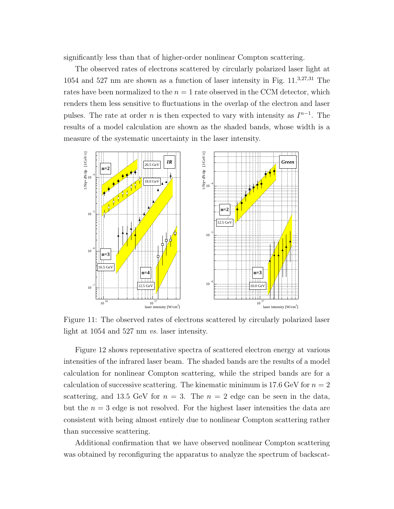significantly less than that of higher-order nonlinear Compton scattering.

The observed rates of electrons scattered by circularly polarized laser light at 1054 and 527 nm are shown as a function of laser intensity in Fig. 11.3,27,31 The rates have been normalized to the  $n = 1$  rate observed in the CCM detector, which renders them less sensitive to fluctuations in the overlap of the electron and laser pulses. The rate at order *n* is then expected to vary with intensity as  $I^{n-1}$ . The results of a model calculation are shown as the shaded bands, whose width is a measure of the systematic uncertainty in the laser intensity.



Figure 11: The observed rates of electrons scattered by circularly polarized laser light at 1054 and 527 nm vs. laser intensity.

Figure 12 shows representative spectra of scattered electron energy at various intensities of the infrared laser beam. The shaded bands are the results of a model calculation for nonlinear Compton scattering, while the striped bands are for a calculation of successive scattering. The kinematic minimum is 17.6 GeV for  $n = 2$ scattering, and 13.5 GeV for  $n = 3$ . The  $n = 2$  edge can be seen in the data, but the  $n = 3$  edge is not resolved. For the highest laser intensities the data are consistent with being almost entirely due to nonlinear Compton scattering rather than successive scattering.

Additional confirmation that we have observed nonlinear Compton scattering was obtained by reconfiguring the apparatus to analyze the spectrum of backscat-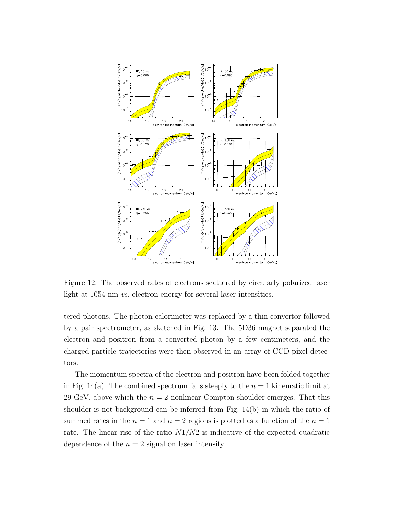

Figure 12: The observed rates of electrons scattered by circularly polarized laser light at 1054 nm *vs.* electron energy for several laser intensities.

tered photons. The photon calorimeter was replaced by a thin convertor followed by a pair spectrometer, as sketched in Fig. 13. The 5D36 magnet separated the electron and positron from a converted photon by a few centimeters, and the charged particle trajectories were then observed in an array of CCD pixel detectors.

The momentum spectra of the electron and positron have been folded together in Fig. 14(a). The combined spectrum falls steeply to the  $n = 1$  kinematic limit at 29 GeV, above which the  $n = 2$  nonlinear Compton shoulder emerges. That this shoulder is not background can be inferred from Fig. 14(b) in which the ratio of summed rates in the  $n = 1$  and  $n = 2$  regions is plotted as a function of the  $n = 1$ rate. The linear rise of the ratio  $N1/N2$  is indicative of the expected quadratic dependence of the  $n = 2$  signal on laser intensity.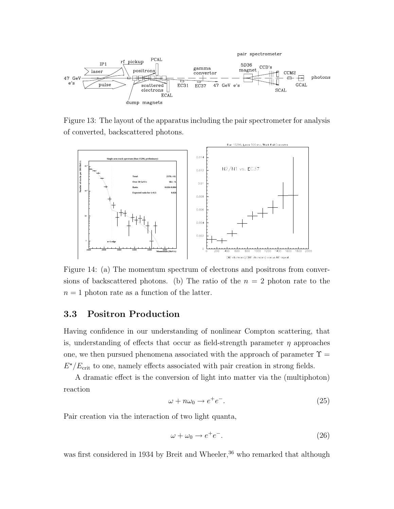

Figure 13: The layout of the apparatus including the pair spectrometer for analysis of converted, backscattered photons.



Figure 14: (a) The momentum spectrum of electrons and positrons from conversions of backscattered photons. (b) The ratio of the  $n = 2$  photon rate to the  $n = 1$  photon rate as a function of the latter.

#### 3.3 Positron Production

Having confidence in our understanding of nonlinear Compton scattering, that is, understanding of effects that occur as field-strength parameter  $\eta$  approaches one, we then pursued phenomena associated with the approach of parameter  $\Upsilon$  $E^{\star}/E_{\text{crit}}$  to one, namely effects associated with pair creation in strong fields.

A dramatic effect is the conversion of light into matter via the (multiphoton) reaction

$$
\omega + n\omega_0 \to e^+e^-.
$$
\n(25)

Pair creation via the interaction of two light quanta,

$$
\omega + \omega_0 \to e^+ e^-.
$$
\n<sup>(26)</sup>

was first considered in 1934 by Breit and Wheeler,  $36$  who remarked that although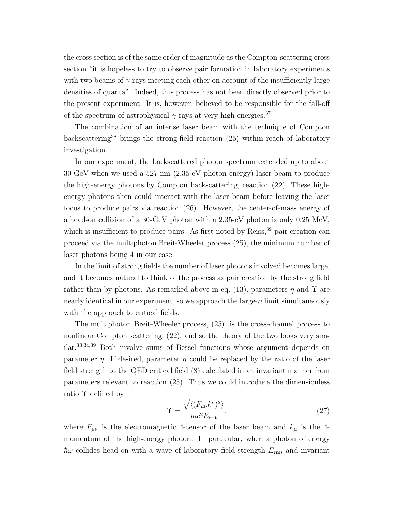the cross section is of the same order of magnitude as the Compton-scattering cross section "it is hopeless to try to observe pair formation in laboratory experiments with two beams of  $\gamma$ -rays meeting each other on account of the insufficiently large densities of quanta". Indeed, this process has not been directly observed prior to the present experiment. It is, however, believed to be responsible for the fall-off of the spectrum of astrophysical  $\gamma$ -rays at very high energies.<sup>37</sup>

The combination of an intense laser beam with the technique of Compton backscattering<sup>38</sup> brings the strong-field reaction  $(25)$  within reach of laboratory investigation.

In our experiment, the backscattered photon spectrum extended up to about 30 GeV when we used a 527-nm (2.35-eV photon energy) laser beam to produce the high-energy photons by Compton backscattering, reaction (22). These highenergy photons then could interact with the laser beam before leaving the laser focus to produce pairs via reaction (26). However, the center-of-mass energy of a head-on collision of a 30-GeV photon with a 2.35-eV photon is only 0.25 MeV, which is insufficient to produce pairs. As first noted by Reiss,<sup>39</sup> pair creation can proceed via the multiphoton Breit-Wheeler process (25), the minimum number of laser photons being 4 in our case.

In the limit of strong fields the number of laser photons involved becomes large, and it becomes natural to think of the process as pair creation by the strong field rather than by photons. As remarked above in eq. (13), parameters  $\eta$  and  $\Upsilon$  are nearly identical in our experiment, so we approach the large- $n$  limit simultaneously with the approach to critical fields.

The multiphoton Breit-Wheeler process, (25), is the cross-channel process to nonlinear Compton scattering,  $(22)$ , and so the theory of the two looks very similar.33,34,39 Both involve sums of Bessel functions whose argument depends on parameter  $\eta$ . If desired, parameter  $\eta$  could be replaced by the ratio of the laser field strength to the QED critical field (8) calculated in an invariant manner from parameters relevant to reaction (25). Thus we could introduce the dimensionless ratio Υ defined by  $\mathcal{L}_{\mathcal{A}}$ 

$$
\Upsilon = \frac{\sqrt{\langle (F_{\mu\nu}k^{\nu})^2 \rangle}}{mc^2 E_{\text{crit}}},\tag{27}
$$

where  $F_{\mu\nu}$  is the electromagnetic 4-tensor of the laser beam and  $k_{\mu}$  is the 4momentum of the high-energy photon. In particular, when a photon of energy  $\hbar\omega$  collides head-on with a wave of laboratory field strength  $E_{\rm rms}$  and invariant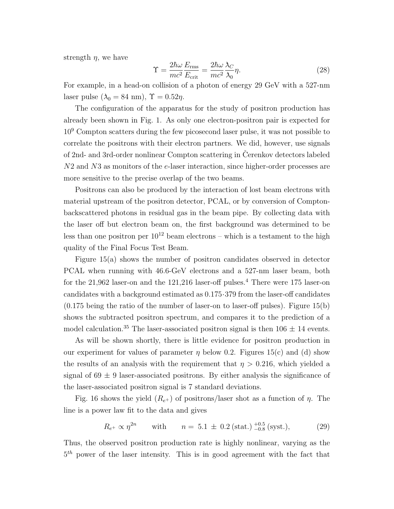strength  $\eta$ , we have

$$
\Upsilon = \frac{2\hbar\omega}{mc^2} \frac{E_{\rm rms}}{E_{\rm crit}} = \frac{2\hbar\omega}{mc^2} \frac{\lambda_C}{\lambda_0} \eta.
$$
 (28)

For example, in a head-on collision of a photon of energy 29 GeV with a 527-nm laser pulse  $(\lambda_0 = 84 \text{ nm})$ ,  $\Upsilon = 0.52 \eta$ .

The configuration of the apparatus for the study of positron production has already been shown in Fig. 1. As only one electron-positron pair is expected for  $10<sup>9</sup>$  Compton scatters during the few picosecond laser pulse, it was not possible to correlate the positrons with their electron partners. We did, however, use signals of 2nd- and 3rd-order nonlinear Compton scattering in Cerenkov detectors labeled N2 and N3 as monitors of the e-laser interaction, since higher-order processes are more sensitive to the precise overlap of the two beams.

Positrons can also be produced by the interaction of lost beam electrons with material upstream of the positron detector, PCAL, or by conversion of Comptonbackscattered photons in residual gas in the beam pipe. By collecting data with the laser off but electron beam on, the first background was determined to be less than one positron per  $10^{12}$  beam electrons – which is a testament to the high quality of the Final Focus Test Beam.

Figure 15(a) shows the number of positron candidates observed in detector PCAL when running with 46.6-GeV electrons and a 527-nm laser beam, both for the  $21,962$  laser-on and the  $121,216$  laser-off pulses.<sup>4</sup> There were 175 laser-on candidates with a background estimated as 0.175·379 from the laser-off candidates  $(0.175 \text{ being the ratio of the number of laser-on to laser-off pulses}).$  Figure 15(b) shows the subtracted positron spectrum, and compares it to the prediction of a model calculation.<sup>35</sup> The laser-associated positron signal is then  $106 \pm 14$  events.

As will be shown shortly, there is little evidence for positron production in our experiment for values of parameter  $\eta$  below 0.2. Figures 15(c) and (d) show the results of an analysis with the requirement that  $\eta > 0.216$ , which yielded a signal of  $69 \pm 9$  laser-associated positrons. By either analysis the significance of the laser-associated positron signal is 7 standard deviations.

Fig. 16 shows the yield  $(R_{e+})$  of positrons/laser shot as a function of  $\eta$ . The line is a power law fit to the data and gives

$$
R_{e^+} \propto \eta^{2n}
$$
 with  $n = 5.1 \pm 0.2 \text{ (stat.)} \frac{+0.5}{-0.8} \text{ (syst.)},$  (29)

Thus, the observed positron production rate is highly nonlinear, varying as the  $5<sup>th</sup>$  power of the laser intensity. This is in good agreement with the fact that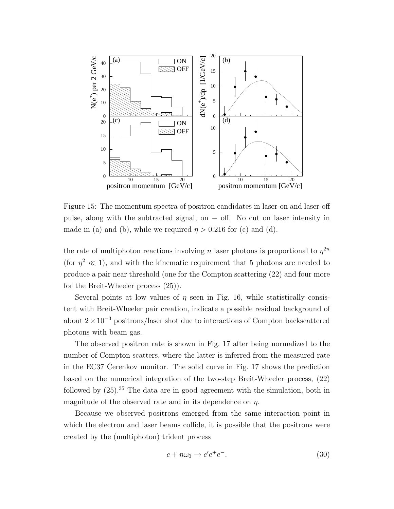

Figure 15: The momentum spectra of positron candidates in laser-on and laser-off pulse, along with the subtracted signal, on − off. No cut on laser intensity in made in (a) and (b), while we required  $\eta > 0.216$  for (c) and (d).

the rate of multiphoton reactions involving n laser photons is proportional to  $\eta^{2n}$ (for  $\eta^2 \ll 1$ ), and with the kinematic requirement that 5 photons are needed to produce a pair near threshold (one for the Compton scattering (22) and four more for the Breit-Wheeler process (25)).

Several points at low values of  $\eta$  seen in Fig. 16, while statistically consistent with Breit-Wheeler pair creation, indicate a possible residual background of about  $2 \times 10^{-3}$  positrons/laser shot due to interactions of Compton backscattered photons with beam gas.

The observed positron rate is shown in Fig. 17 after being normalized to the number of Compton scatters, where the latter is inferred from the measured rate in the EC37 Cerenkov monitor. The solid curve in Fig.  $17$  shows the prediction based on the numerical integration of the two-step Breit-Wheeler process, (22) followed by  $(25)^{35}$ . The data are in good agreement with the simulation, both in magnitude of the observed rate and in its dependence on  $\eta$ .

Because we observed positrons emerged from the same interaction point in which the electron and laser beams collide, it is possible that the positrons were created by the (multiphoton) trident process

$$
e + n\omega_0 \to e'e^+e^-.
$$
\n(30)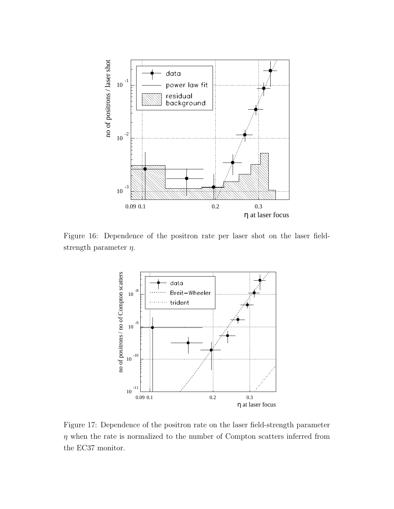

Figure 16: Dependence of the positron rate per laser shot on the laser fieldstrength parameter  $\eta$ .



Figure 17: Dependence of the positron rate on the laser field-strength parameter  $\eta$  when the rate is normalized to the number of Compton scatters inferred from the EC37 monitor.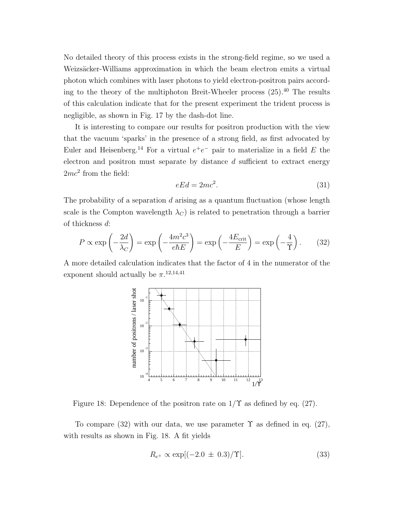No detailed theory of this process exists in the strong-field regime, so we used a Weizsäcker-Williams approximation in which the beam electron emits a virtual photon which combines with laser photons to yield electron-positron pairs according to the theory of the multiphoton Breit-Wheeler process  $(25)$ .<sup>40</sup> The results of this calculation indicate that for the present experiment the trident process is negligible, as shown in Fig. 17 by the dash-dot line.

It is interesting to compare our results for positron production with the view that the vacuum 'sparks' in the presence of a strong field, as first advocated by Euler and Heisenberg.<sup>14</sup> For a virtual  $e^+e^-$  pair to materialize in a field E the electron and positron must separate by distance d sufficient to extract energy  $2mc^2$  from the field:

$$
eEd = 2mc^2.
$$
\n<sup>(31)</sup>

The probability of a separation  $d$  arising as a quantum fluctuation (whose length scale is the Compton wavelength  $\lambda_C$ ) is related to penetration through a barrier of thickness d:

$$
P \propto \exp\left(-\frac{2d}{\lambda_C}\right) = \exp\left(-\frac{4m^2c^3}{e\hbar E}\right) = \exp\left(-\frac{4E_{\text{crit}}}{E}\right) = \exp\left(-\frac{4}{\Upsilon}\right). \tag{32}
$$

A more detailed calculation indicates that the factor of 4 in the numerator of the exponent should actually be  $\pi$ <sup>12,14,41</sup>



Figure 18: Dependence of the positron rate on  $1/\Upsilon$  as defined by eq. (27).

To compare (32) with our data, we use parameter  $\Upsilon$  as defined in eq. (27), with results as shown in Fig. 18. A fit yields

$$
R_{e^{+}} \propto \exp[(-2.0 \pm 0.3)/\Upsilon]. \tag{33}
$$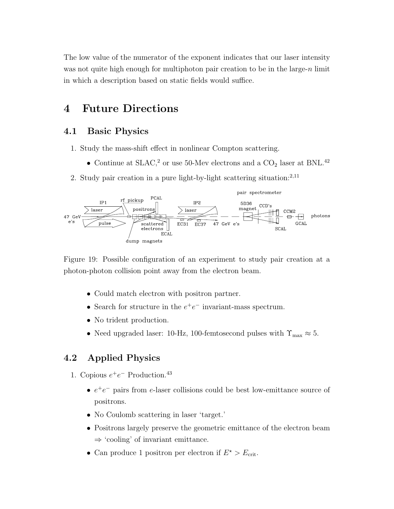The low value of the numerator of the exponent indicates that our laser intensity was not quite high enough for multiphoton pair creation to be in the large- $n$  limit in which a description based on static fields would suffice.

## 4 Future Directions

### 4.1 Basic Physics

- 1. Study the mass-shift effect in nonlinear Compton scattering.
	- Continue at SLAC,<sup>2</sup> or use 50-Mev electrons and a  $CO<sub>2</sub>$  laser at BNL.<sup>42</sup>
- 2. Study pair creation in a pure light-by-light scattering situation: $^{2,11}$



Figure 19: Possible configuration of an experiment to study pair creation at a photon-photon collision point away from the electron beam.

- Could match electron with positron partner.
- Search for structure in the  $e^+e^-$  invariant-mass spectrum.
- No trident production.
- $\bullet\,$  Need upgraded laser: 10-Hz, 100-femtosecond pulses with  $\Upsilon_{\rm max}\approx 5.$

### 4.2 Applied Physics

- 1. Copious  $e^+e^-$  Production.<sup>43</sup>
	- $e^+e^-$  pairs from e-laser collisions could be best low-emittance source of positrons.
	- No Coulomb scattering in laser 'target.'
	- Positrons largely preserve the geometric emittance of the electron beam  $\Rightarrow$  'cooling' of invariant emittance.
	- Can produce 1 positron per electron if  $E^* > E_{\text{crit}}$ .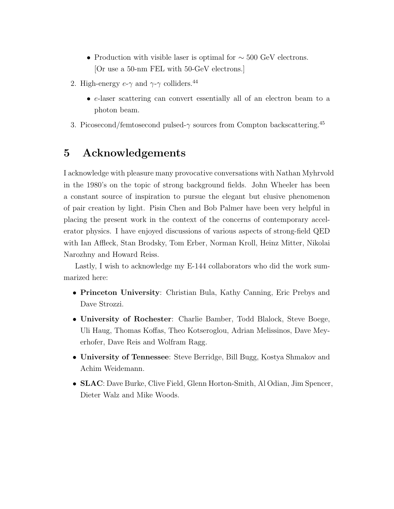- Production with visible laser is optimal for  $\sim$  500 GeV electrons. [Or use a 50-nm FEL with 50-GeV electrons.]
- 2. High-energy  $e-\gamma$  and  $\gamma-\gamma$  colliders.<sup>44</sup>
	- e-laser scattering can convert essentially all of an electron beam to a photon beam.
- 3. Picosecond/femtosecond pulsed- $\gamma$  sources from Compton backscattering.<sup>45</sup>

# 5 Acknowledgements

I acknowledge with pleasure many provocative conversations with Nathan Myhrvold in the 1980's on the topic of strong background fields. John Wheeler has been a constant source of inspiration to pursue the elegant but elusive phenomenon of pair creation by light. Pisin Chen and Bob Palmer have been very helpful in placing the present work in the context of the concerns of contemporary accelerator physics. I have enjoyed discussions of various aspects of strong-field QED with Ian Affleck, Stan Brodsky, Tom Erber, Norman Kroll, Heinz Mitter, Nikolai Narozhny and Howard Reiss.

Lastly, I wish to acknowledge my E-144 collaborators who did the work summarized here:

- Princeton University: Christian Bula, Kathy Canning, Eric Prebys and Dave Strozzi.
- University of Rochester: Charlie Bamber, Todd Blalock, Steve Boege, Uli Haug, Thomas Koffas, Theo Kotseroglou, Adrian Melissinos, Dave Meyerhofer, Dave Reis and Wolfram Ragg.
- University of Tennessee: Steve Berridge, Bill Bugg, Kostya Shmakov and Achim Weidemann.
- SLAC: Dave Burke, Clive Field, Glenn Horton-Smith, Al Odian, Jim Spencer, Dieter Walz and Mike Woods.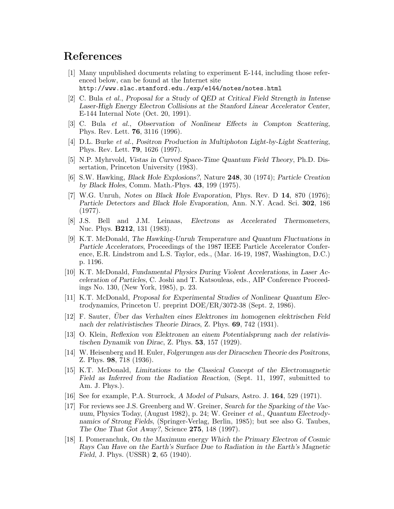### References

- [1] Many unpublished documents relating to experiment E-144, including those referenced below, can be found at the Internet site http://www.slac.stanford.edu./exp/e144/notes/notes.html
- [2] C. Bula et al., Proposal for a Study of QED at Critical Field Strength in Intense Laser-High Energy Electron Collisions at the Stanford Linear Accelerator Center, E-144 Internal Note (Oct. 20, 1991).
- [3] C. Bula et al., Observation of Nonlinear Effects in Compton Scattering, Phys. Rev. Lett. 76, 3116 (1996).
- [4] D.L. Burke et al., Positron Production in Multiphoton Light-by-Light Scattering, Phys. Rev. Lett. 79, 1626 (1997).
- [5] N.P. Myhrvold, Vistas in Curved Space-Time Quantum Field Theory, Ph.D. Dissertation, Princeton University (1983).
- [6] S.W. Hawking, Black Hole Explosions?, Nature 248, 30 (1974); Particle Creation by Black Holes, Comm. Math.-Phys. 43, 199 (1975).
- [7] W.G. Unruh, Notes on Black Hole Evaporation, Phys. Rev. D 14, 870 (1976); Particle Detectors and Black Hole Evaporation, Ann. N.Y. Acad. Sci. 302, 186 (1977).
- [8] J.S. Bell and J.M. Leinaas, Electrons as Accelerated Thermometers, Nuc. Phys. B212, 131 (1983).
- [9] K.T. McDonald, The Hawking-Unruh Temperature and Quantum Fluctuations in Particle Accelerators, Proceedings of the 1987 IEEE Particle Accelerator Conference, E.R. Lindstrom and L.S. Taylor, eds., (Mar. 16-19, 1987, Washington, D.C.) p. 1196.
- [10] K.T. McDonald, Fundamental Physics During Violent Accelerations, in Laser Acceleration of Particles, C. Joshi and T. Katsouleas, eds., AIP Conference Proceedings No. 130, (New York, 1985), p. 23.
- [11] K.T. McDonald, Proposal for Experimental Studies of Nonlinear Quantum Electrodynamics, Princeton U. preprint DOE/ER/3072-38 (Sept. 2, 1986).
- [12] F. Sauter, Uber das Verhalten eines Elektrones im homogenen elektrischen Feld ¨ nach der relativistisches Theorie Diracs, Z. Phys. 69, 742 (1931).
- [13] O. Klein, Reflexion von Elektronen an einem Potentialsprung nach der relativistischen Dynamik von Dirac, Z. Phys. 53, 157 (1929).
- [14] W. Heisenberg and H. Euler, Folgerungen aus der Diracschen Theorie des Positrons, Z. Phys. 98, 718 (1936).
- [15] K.T. McDonald, Limitations to the Classical Concept of the Electromagnetic Field as Inferred from the Radiation Reaction, (Sept. 11, 1997, submitted to Am. J. Phys.).
- [16] See for example, P.A. Sturrock, A Model of Pulsars, Astro. J. 164, 529 (1971).
- [17] For reviews see J.S. Greenberg and W. Greiner, Search for the Sparking of the Vacuum, Physics Today, (August 1982), p. 24; W. Greiner et al., Quantum Electrodynamics of Strong Fields, (Springer-Verlag, Berlin, 1985); but see also G. Taubes, The One That Got Away?, Science 275, 148 (1997).
- [18] I. Pomeranchuk, On the Maximum energy Which the Primary Electron of Cosmic Rays Can Have on the Earth's Surface Due to Radiation in the Earth's Magnetic Field, J. Phys. (USSR) 2, 65 (1940).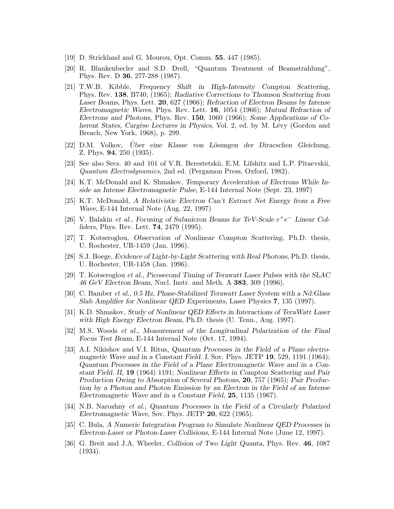- [19] D. Strickland and G. Mourou, Opt. Comm. 55, 447 (1985).
- [20] R. Blankenbecler and S.D. Drell, "Quantum Treatment of Beamstrahlung", Phys. Rev. D 36, 277-288 (1987).
- [21] T.W.B. Kibble, Frequency Shift in High-Intensity Compton Scattering, Phys. Rev. 138, B740, (1965); Radiative Corrections to Thomson Scattering from Laser Beams, Phys. Lett. 20, 627 (1966); Refraction of Electron Beams by Intense Electromagnetic Waves, Phys. Rev. Lett. 16, 1054 (1966); Mutual Refraction of Electrons and Photons, Phys. Rev. 150, 1060 (1966); Some Applications of Coherent States, Cargèse Lectures in Physics, Vol. 2, ed. by M. Lévy (Gordon and Breach, New York, 1968), p. 299.
- [22] D.M. Volkov, Uber eine Klasse von Lösungen der Diracschen Gleichung, Z. Phys. 94, 250 (1935).
- [23] See also Secs. 40 and 101 of V.R. Berestetskii, E.M. Lifshitz and L.P. Pitaevskii, Quantum Electrodynamics, 2nd ed. (Pergamon Press, Oxford, 1982).
- [24] K.T. McDonald and K. Shmakov, Temporary Acceleration of Electrons While Inside an Intense Electromagnetic Pulse, E-144 Internal Note (Sept. 23, 1997)
- [25] K.T. McDonald, A Relativistic Electron Can't Extract Net Energy from a Free Wave, E-144 Internal Note (Aug. 22, 1997)
- [26] V. Balakin et al., Focusing of Submicron Beams for TeV-Scale  $e^+e^-$  Linear Colliders, Phys. Rev. Lett. 74, 2479 (1995).
- [27] T. Kotseroglou, Observation of Nonlinear Compton Scattering, Ph.D. thesis, U. Rochester, UR-1459 (Jan. 1996).
- [28] S.J. Boege, Evidence of Light-by-Light Scattering with Real Photons, Ph.D. thesis, U. Rochester, UR-1458 (Jan. 1996).
- [29] T. Kotseroglou et al., Picosecond Timing of Terawatt Laser Pulses with the SLAC 46 GeV Electron Beam, Nucl. Instr. and Meth. A 383, 309 (1996).
- [30] C. Bamber et al., 0.5 Hz, Phase-Stabilized Terawatt Laser System with a Nd:Glass Slab Amplifier for Nonlinear QED Experiments, Laser Physics 7, 135 (1997).
- [31] K.D. Shmakov, Study of Nonlinear QED Effects in Interactions of TeraWatt Laser with High Energy Electron Beam, Ph.D. thesis (U. Tenn., Aug. 1997).
- [32] M.S. Woods et al., Measurement of the Longitudinal Polarization of the Final Focus Test Beam, E-144 Internal Note (Oct. 17, 1994).
- [33] A.I. Nikishov and V.I. Ritus, Quantum Processes in the Field of a Plane electromagnetic Wave and in a Constant Field. I, Sov. Phys. JETP 19, 529, 1191 (1964); Quantum Processes in the Field of a Plane Electromagnetic Wave and in a Constant Field. II, 19 (1964) 1191; Nonlinear Effects in Compton Scattering and Pair Production Owing to Absorption of Several Photons, 20, 757 (1965); Pair Production by a Photon and Photon Emission by an Electron in the Field of an Intense Electromagnetic Wave and in a Constant Field, 25, 1135 (1967).
- [34] N.B. Narozhny et al., Quantum Processes in the Field of a Circularly Polarized Electromagnetic Wave, Sov. Phys. JETP 20, 622 (1965).
- [35] C. Bula, A Numeric Integration Program to Simulate Nonlinear QED Processes in Electron-Laser or Photon-Laser Collisions, E-144 Internal Note (June 12, 1997).
- [36] G. Breit and J.A. Wheeler, Collision of Two Light Quanta, Phys. Rev. 46, 1087 (1934).